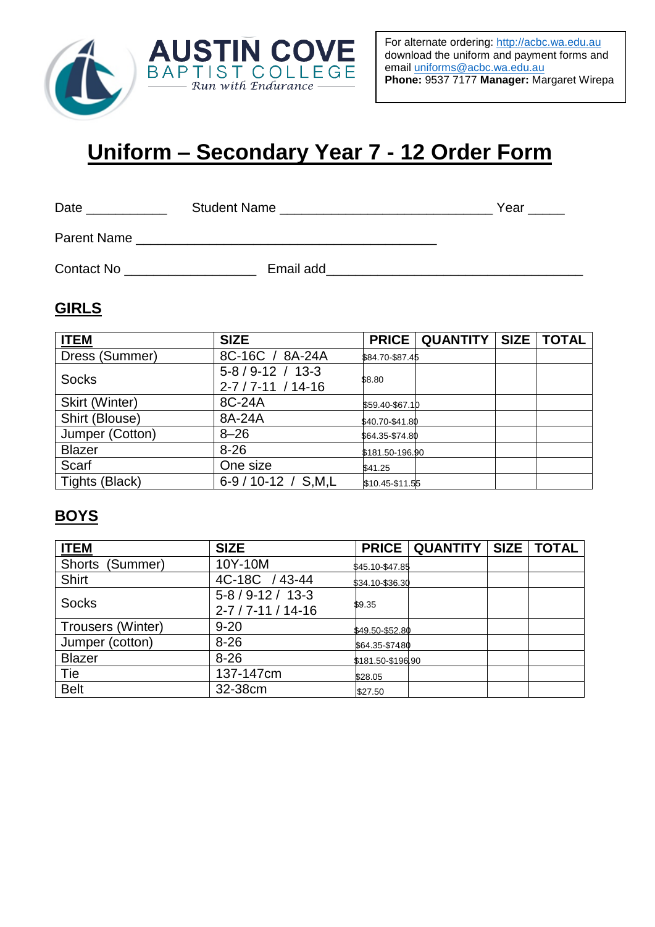

# **Uniform – Secondary Year 7 - 12 Order Form**

Date \_\_\_\_\_\_\_\_\_\_\_ Student Name \_\_\_\_\_\_\_\_\_\_\_\_\_\_\_\_\_\_\_\_\_\_\_\_\_\_\_\_\_ Year \_\_\_\_\_

Parent Name \_\_\_\_\_\_\_\_\_\_\_\_\_\_\_\_\_\_\_\_\_\_\_\_\_\_\_\_\_\_\_\_\_\_\_\_\_\_\_\_\_

Contact No \_\_\_\_\_\_\_\_\_\_\_\_\_\_\_\_\_\_ Email add\_\_\_\_\_\_\_\_\_\_\_\_\_\_\_\_\_\_\_\_\_\_\_\_\_\_\_\_\_\_\_\_\_\_\_

#### **GIRLS**

| <b>ITEM</b>     | <b>SIZE</b>                                   | <b>PRICE</b>    | <b>QUANTITY</b> | SIZE   TOTAL |
|-----------------|-----------------------------------------------|-----------------|-----------------|--------------|
| Dress (Summer)  | 8C-16C / 8A-24A                               | \$84.70-\$87.45 |                 |              |
| <b>Socks</b>    | $5-8/9-12/13-3$<br>$2 - 7 / 7 - 11 / 14 - 16$ | \$8.80          |                 |              |
| Skirt (Winter)  | 8C-24A                                        | \$59.40-\$67.10 |                 |              |
| Shirt (Blouse)  | 8A-24A                                        | \$40.70-\$41.80 |                 |              |
| Jumper (Cotton) | $8 - 26$                                      | \$64.35-\$74.80 |                 |              |
| <b>Blazer</b>   | $8 - 26$                                      | \$181.50-196.90 |                 |              |
| Scarf           | One size                                      | \$41.25         |                 |              |
| Tights (Black)  | 6-9 / 10-12 / S,M,L                           | \$10.45-\$11.55 |                 |              |

## **BOYS**

| <b>ITEM</b>               | <b>SIZE</b>                | <b>PRICE</b>      | <b>QUANTITY</b> | <b>SIZE</b> | <b>TOTAL</b> |
|---------------------------|----------------------------|-------------------|-----------------|-------------|--------------|
| <b>Shorts</b><br>(Summer) | 10Y-10M                    | \$45.10-\$47.85   |                 |             |              |
| <b>Shirt</b>              | 4C-18C / 43-44             | \$34.10-\$36.30   |                 |             |              |
| <b>Socks</b>              | $5 - 8 / 9 - 12 / 13 - 3$  | \$9.35            |                 |             |              |
|                           | $2 - 7 / 7 - 11 / 14 - 16$ |                   |                 |             |              |
| Trousers (Winter)         | $9 - 20$                   | \$49.50-\$52.80   |                 |             |              |
| Jumper (cotton)           | $8 - 26$                   | \$64.35-\$7480    |                 |             |              |
| <b>Blazer</b>             | $8 - 26$                   | \$181.50-\$196.90 |                 |             |              |
| Tie                       | 137-147cm                  | \$28.05           |                 |             |              |
| <b>Belt</b>               | 32-38cm                    | \$27.50           |                 |             |              |